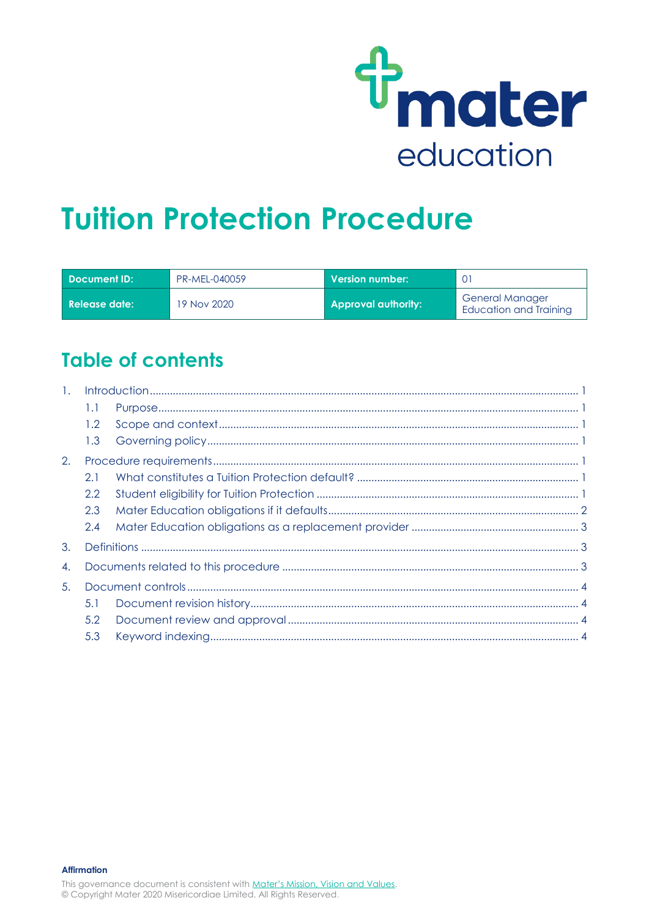

# **Tuition Protection Procedure**

| Document ID:  | PR-MEL-040059 | Version number: \          |                                                  |
|---------------|---------------|----------------------------|--------------------------------------------------|
| Release date: | 19 Nov 2020   | <b>Approval authority:</b> | <b>General Manager</b><br>Education and Training |

## **Table of contents**

| 1.1           |  |
|---------------|--|
| $1.2^{\circ}$ |  |
| 1.3           |  |
|               |  |
| 2.1           |  |
| 2.2           |  |
| 2.3           |  |
| $2.4^{\circ}$ |  |
|               |  |
|               |  |
|               |  |
| 5.1           |  |
| 5.2           |  |
| 5.3           |  |
|               |  |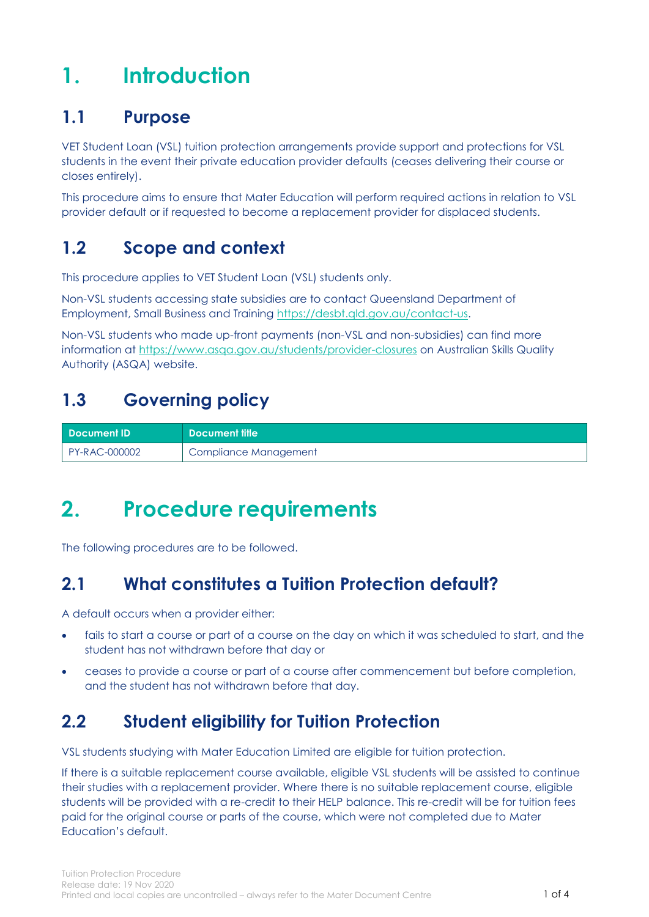## <span id="page-1-0"></span>**1. Introduction**

### <span id="page-1-1"></span>**1.1 Purpose**

VET Student Loan (VSL) tuition protection arrangements provide support and protections for VSL students in the event their private education provider defaults (ceases delivering their course or closes entirely).

This procedure aims to ensure that Mater Education will perform required actions in relation to VSL provider default or if requested to become a replacement provider for displaced students.

## <span id="page-1-2"></span>**1.2 Scope and context**

This procedure applies to VET Student Loan (VSL) students only.

Non-VSL students accessing state subsidies are to contact Queensland Department of Employment, Small Business and Training [https://desbt.qld.gov.au/contact-us.](https://desbt.qld.gov.au/contact-us)

Non-VSL students who made up-front payments (non-VSL and non-subsidies) can find more information at<https://www.asqa.gov.au/students/provider-closures> on Australian Skills Quality Authority (ASQA) website.

## <span id="page-1-3"></span>**1.3 Governing policy**

| <b>Document ID</b> | <b>N</b> Document title |
|--------------------|-------------------------|
| PY-RAC-000002      | Compliance Management   |

## <span id="page-1-4"></span>**2. Procedure requirements**

The following procedures are to be followed.

### <span id="page-1-5"></span>**2.1 What constitutes a Tuition Protection default?**

A default occurs when a provider either:

- fails to start a course or part of a course on the day on which it was scheduled to start, and the student has not withdrawn before that day or
- ceases to provide a course or part of a course after commencement but before completion, and the student has not withdrawn before that day.

### <span id="page-1-6"></span>**2.2 Student eligibility for Tuition Protection**

VSL students studying with Mater Education Limited are eligible for tuition protection.

If there is a suitable replacement course available, eligible VSL students will be assisted to continue their studies with a replacement provider. Where there is no suitable replacement course, eligible students will be provided with a re-credit to their HELP balance. This re-credit will be for tuition fees paid for the original course or parts of the course, which were not completed due to Mater Education's default.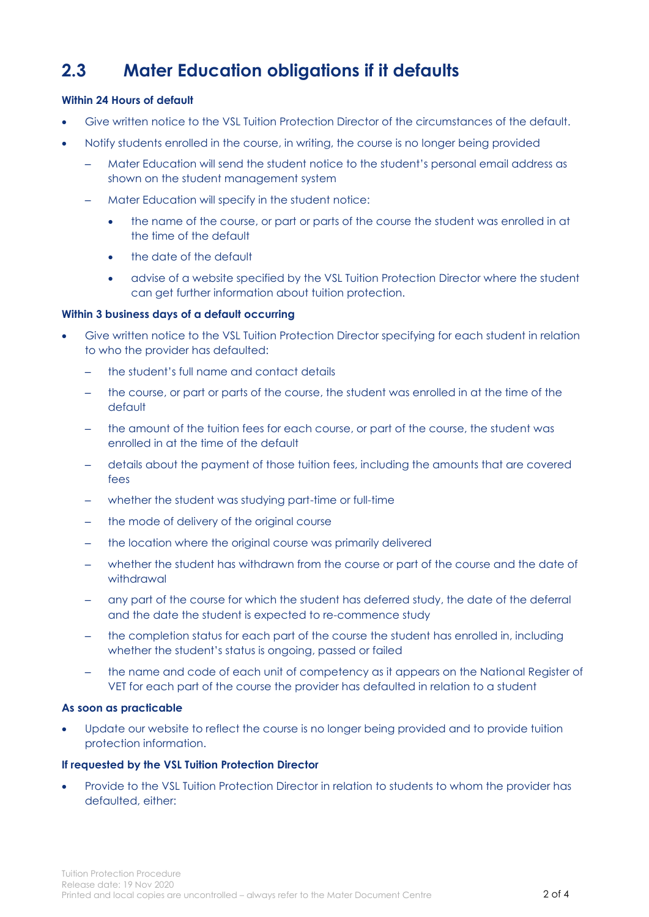## <span id="page-2-0"></span>**2.3 Mater Education obligations if it defaults**

#### **Within 24 Hours of default**

- Give written notice to the VSL Tuition Protection Director of the circumstances of the default.
- Notify students enrolled in the course, in writing, the course is no longer being provided
	- Mater Education will send the student notice to the student's personal email address as shown on the student management system
	- Mater Education will specify in the student notice:
		- the name of the course, or part or parts of the course the student was enrolled in at the time of the default
		- the date of the default
		- advise of a website specified by the VSL Tuition Protection Director where the student can get further information about tuition protection.

#### **Within 3 business days of a default occurring**

- Give written notice to the VSL Tuition Protection Director specifying for each student in relation to who the provider has defaulted:
	- the student's full name and contact details
	- the course, or part or parts of the course, the student was enrolled in at the time of the default
	- the amount of the tuition fees for each course, or part of the course, the student was enrolled in at the time of the default
	- details about the payment of those tuition fees, including the amounts that are covered fees
	- whether the student was studying part-time or full-time
	- the mode of delivery of the original course
	- the location where the original course was primarily delivered
	- whether the student has withdrawn from the course or part of the course and the date of withdrawal
	- any part of the course for which the student has deferred study, the date of the deferral and the date the student is expected to re-commence study
	- the completion status for each part of the course the student has enrolled in, including whether the student's status is ongoing, passed or failed
	- the name and code of each unit of competency as it appears on the National Register of VET for each part of the course the provider has defaulted in relation to a student

#### **As soon as practicable**

• Update our website to reflect the course is no longer being provided and to provide tuition protection information.

#### **If requested by the VSL Tuition Protection Director**

• Provide to the VSL Tuition Protection Director in relation to students to whom the provider has defaulted, either: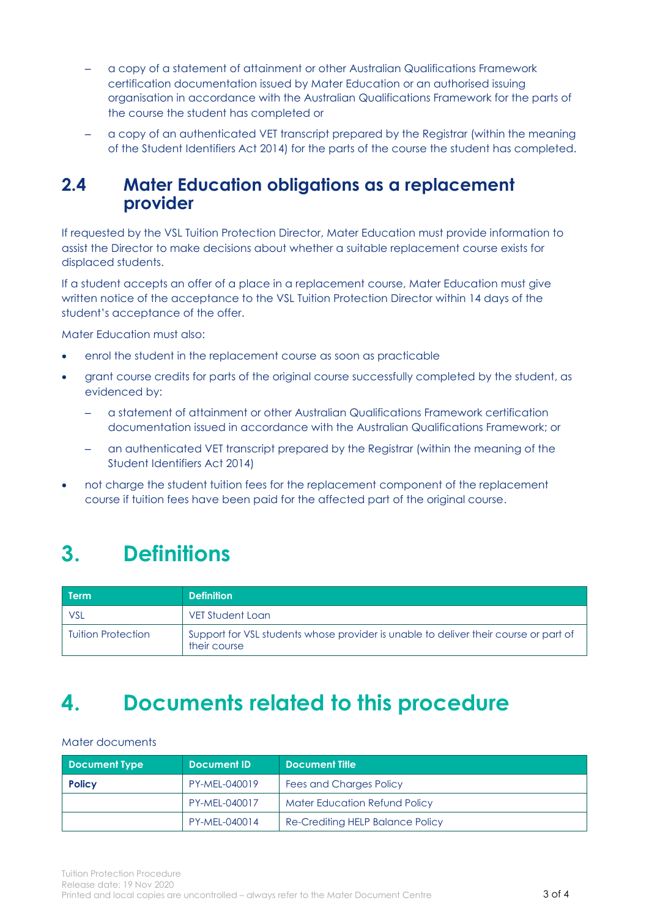- a copy of a statement of attainment or other Australian Qualifications Framework certification documentation issued by Mater Education or an authorised issuing organisation in accordance with the Australian Qualifications Framework for the parts of the course the student has completed or
- a copy of an authenticated VET transcript prepared by the Registrar (within the meaning of the Student Identifiers Act 2014) for the parts of the course the student has completed.

### <span id="page-3-0"></span>**2.4 Mater Education obligations as a replacement provider**

If requested by the VSL Tuition Protection Director, Mater Education must provide information to assist the Director to make decisions about whether a suitable replacement course exists for displaced students.

If a student accepts an offer of a place in a replacement course, Mater Education must give written notice of the acceptance to the VSL Tuition Protection Director within 14 days of the student's acceptance of the offer.

Mater Education must also:

- enrol the student in the replacement course as soon as practicable
- grant course credits for parts of the original course successfully completed by the student, as evidenced by:
	- a statement of attainment or other Australian Qualifications Framework certification documentation issued in accordance with the Australian Qualifications Framework; or
	- an authenticated VET transcript prepared by the Registrar (within the meaning of the Student Identifiers Act 2014)
- not charge the student tuition fees for the replacement component of the replacement course if tuition fees have been paid for the affected part of the original course.

## <span id="page-3-1"></span>**3. Definitions**

| Term                      | <b>Definition</b>                                                                                    |
|---------------------------|------------------------------------------------------------------------------------------------------|
| <b>VSL</b>                | VET Student Loan                                                                                     |
| <b>Tuition Protection</b> | Support for VSL students whose provider is unable to deliver their course or part of<br>their course |

## <span id="page-3-2"></span>**4. Documents related to this procedure**

Mater documents

| <b>Document Type</b> | Document ID   | <b>Document Title</b>                |
|----------------------|---------------|--------------------------------------|
| <b>Policy</b>        | PY-MEL-040019 | <b>Fees and Charges Policy</b>       |
|                      | PY-MEL-040017 | <b>Mater Education Refund Policy</b> |
|                      | PY-MEL-040014 | Re-Crediting HELP Balance Policy     |